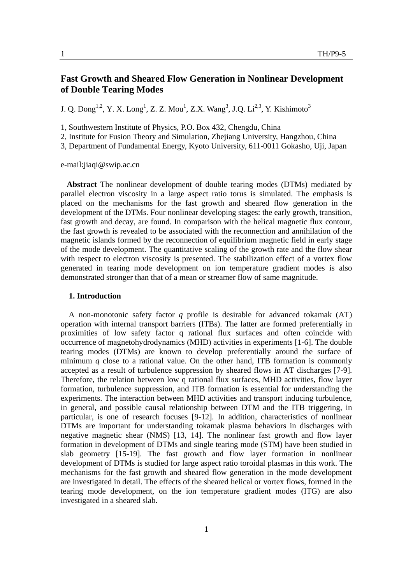# **Fast Growth and Sheared Flow Generation in Nonlinear Development of Double Tearing Modes**

J. Q. Dong<sup>1,2</sup>, Y. X. Long<sup>1</sup>, Z. Z. Mou<sup>1</sup>, Z.X. Wang<sup>3</sup>, J.Q. Li<sup>2,3</sup>, Y. Kishimoto<sup>3</sup>

1, Southwestern Institute of Physics, P.O. Box 432, Chengdu, China

2, Institute for Fusion Theory and Simulation, Zhejiang University, Hangzhou, China

3, Department of Fundamental Energy, Kyoto University, 611-0011 Gokasho, Uji, Japan

e-mail:jiaqi@swip.ac.cn

**Abstract** The nonlinear development of double tearing modes (DTMs) mediated by parallel electron viscosity in a large aspect ratio torus is simulated. The emphasis is placed on the mechanisms for the fast growth and sheared flow generation in the development of the DTMs. Four nonlinear developing stages: the early growth, transition, fast growth and decay, are found. In comparison with the helical magnetic flux contour, the fast growth is revealed to be associated with the reconnection and annihilation of the magnetic islands formed by the reconnection of equilibrium magnetic field in early stage of the mode development. The quantitative scaling of the growth rate and the flow shear with respect to electron viscosity is presented. The stabilization effect of a vortex flow generated in tearing mode development on ion temperature gradient modes is also demonstrated stronger than that of a mean or streamer flow of same magnitude.

## **1. Introduction**

A non-monotonic safety factor *q* profile is desirable for advanced tokamak (AT) operation with internal transport barriers (ITBs). The latter are formed preferentially in proximities of low safety factor q rational flux surfaces and often coincide with occurrence of magnetohydrodynamics (MHD) activities in experiments [1-6]. The double tearing modes (DTMs) are known to develop preferentially around the surface of minimum  $q$  close to a rational value. On the other hand, ITB formation is commonly accepted as a result of turbulence suppression by sheared flows in AT discharges [7-9]. Therefore, the relation between low q rational flux surfaces, MHD activities, flow layer formation, turbulence suppression, and ITB formation is essential for understanding the experiments. The interaction between MHD activities and transport inducing turbulence, in general, and possible causal relationship between DTM and the ITB triggering, in particular, is one of research focuses [9-12]. In addition, characteristics of nonlinear DTMs are important for understanding tokamak plasma behaviors in discharges with negative magnetic shear (NMS) [13, 14]. The nonlinear fast growth and flow layer formation in development of DTMs and single tearing mode (STM) have been studied in slab geometry [15-19]. The fast growth and flow layer formation in nonlinear development of DTMs is studied for large aspect ratio toroidal plasmas in this work. The mechanisms for the fast growth and sheared flow generation in the mode development are investigated in detail. The effects of the sheared helical or vortex flows, formed in the tearing mode development, on the ion temperature gradient modes (ITG) are also investigated in a sheared slab.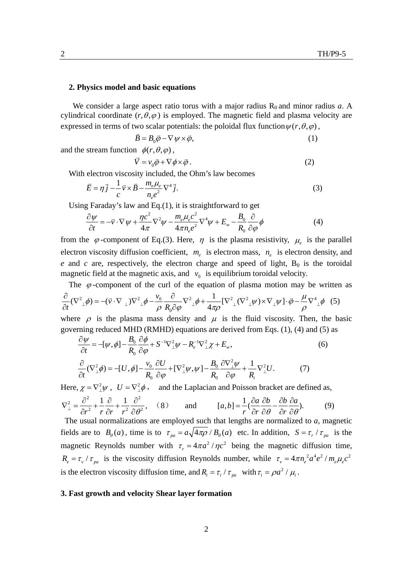#### **2. Physics model and basic equations**

We consider a large aspect ratio torus with a major radius  $R_0$  and minor radius  $a$ . A cylindrical coordinate  $(r, \theta, \varphi)$  is employed. The magnetic field and plasma velocity are expressed in terms of two scalar potentials: the poloidal flux function  $\psi(r, \theta, \varphi)$ ,

$$
\vec{B} = B_0 \vec{\varphi} - \nabla \psi \times \vec{\varphi}, \tag{1}
$$

and the stream function  $\phi(r, \theta, \varphi)$ ,

$$
\vec{V} = v_0 \vec{\varphi} + \nabla \phi \times \vec{\varphi} \,. \tag{2}
$$

With electron viscosity included, the Ohm's law becomes

$$
\vec{E} = \eta \vec{j} - \frac{1}{c} \vec{v} \times \vec{B} - \frac{m_e \mu_e}{n_e e^2} \nabla^4 \vec{j}.
$$
 (3)

Using Faraday's law and Eq.(1), it is straightforward to get

$$
\frac{\partial \psi}{\partial t} = -\vec{v} \cdot \nabla \psi + \frac{\eta c^2}{4\pi} \nabla^2 \psi - \frac{m_e \mu_e c^2}{4\pi n_e e^2} \nabla^4 \psi + E_w - \frac{B_0}{R_0} \frac{\partial}{\partial \varphi} \phi \tag{4}
$$

from the  $\varphi$ -component of Eq.(3). Here,  $\eta$  is the plasma resistivity,  $\mu_e$  is the parallel electron viscosity diffusion coefficient,  $m_e$  is electron mass,  $n_e$  is electron density, and  $e$  and  $c$  are, respectively, the electron charge and speed of light,  $B_0$  is the toroidal magnetic field at the magnetic axis, and  $v_0$  is equilibrium toroidal velocity.

The  $\varphi$ -component of the curl of the equation of plasma motion may be written as

$$
\frac{\partial}{\partial t}(\nabla^2 \psi) = -(\vec{v} \cdot \nabla \psi) \nabla^2 \psi - \frac{v_0}{\rho} \frac{\partial}{R_0 \partial \varphi} \nabla^2 \psi + \frac{1}{4\pi \rho} [\nabla^2 \psi \nabla^2 \psi] \cdot \nabla \psi] \cdot \vec{\varphi} - \frac{\mu}{\rho} \nabla^4 \psi \nabla \psi.
$$

where  $\rho$  is the plasma mass density and  $\mu$  is the fluid viscosity. Then, the basic governing reduced MHD (RMHD) equations are derived from Eqs. (1), (4) and (5) as

$$
\frac{\partial \psi}{\partial t} = -[\psi, \phi] - \frac{B_0}{R_0} \frac{\partial \phi}{\partial \varphi} + S^{-1} \nabla_{\perp}^2 \psi - R_e^{-1} \nabla_{\perp}^2 \chi + E_w, \n\frac{\partial}{\partial t} (\nabla_{\perp}^2 \phi) = -[U, \phi] - \frac{v_0}{R_0} \frac{\partial U}{\partial \varphi} + [\nabla_{\perp}^2 \psi, \psi] - \frac{B_0}{R_0} \frac{\partial \nabla_{\perp}^2 \psi}{\partial \varphi} + \frac{1}{R_i} \nabla_{\perp}^2 U.
$$
\n(7)

Here,  $\chi = \nabla^2 \psi$ ,  $U = \nabla^2 \phi$ , and the Laplacian and Poisson bracket are defined as,  $\sigma^2$  1  $\partial$  1  $\partial^2$  $\nabla_{\perp}^2 = \frac{\partial^2}{\partial r^2} + \frac{1}{r} \frac{\partial}{\partial r} + \frac{1}{r^2} \frac{\partial^2}{\partial \theta^2},$  $\partial r^2$  r  $\partial r$  r<sup>2</sup>  $\partial$ (8) and  $[a, b] = \frac{1}{a} (\frac{\partial a}{\partial b} \frac{\partial b}{\partial a} - \frac{\partial b}{\partial b} \frac{\partial a}{\partial a}).$  $=\frac{1}{r}(\frac{\partial a}{\partial r}\frac{\partial b}{\partial \theta} - \frac{\partial b}{\partial r}\frac{\partial a}{\partial \theta}).$  (9)

 The usual normalizations are employed such that lengths are normalized to *a,* magnetic fields are to  $B_{\theta}(a)$ , time is to  $\tau_{pa} = a\sqrt{4\pi\rho}/B_{\theta}(a)$  etc. In addition,  $S = \tau_{r}/\tau_{pa}$  is the magnetic Reynolds number with  $\tau_r = 4\pi a^2 / \eta c^2$  being the magnetic diffusion time,  $R_e = \tau_v / \tau_{pa}$  is the viscosity diffusion Reynolds number, while  $\tau_v = 4\pi n_e^2 a^4 e^2 / m_e \mu_e c^2$ is the electron viscosity diffusion time, and  $R_i = \tau_i / \tau_{pa}$  with  $\tau_i = \rho a^2 / \mu_i$ .

### **3. Fast growth and velocity Shear layer formation**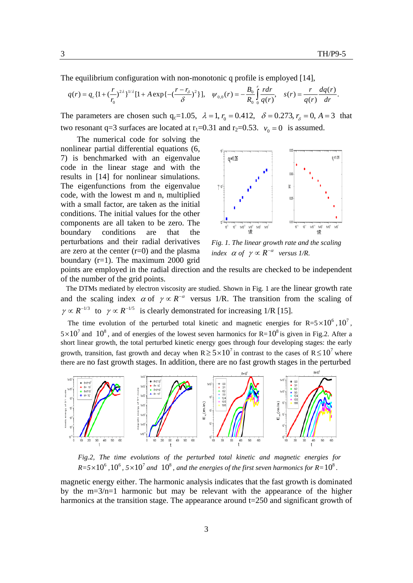The equilibrium configuration with non-monotonic q profile is employed [14],

$$
q(r) = q_c \left\{1 + \left(\frac{r}{r_0}\right)^{2\lambda}\right\}^{1/\lambda} [1 + A \exp\left\{-\left(\frac{r - r_\delta}{\delta}\right)^2\right\}], \quad \psi_{0,0}(r) = -\frac{B_0}{R_0} \int_0^r \frac{r dr}{q(r)}, \quad s(r) = \frac{r}{q(r)} \frac{dq(r)}{dr}.
$$

The parameters are chosen such  $q_c=1.05$ ,  $\lambda = 1$ ,  $r_0 = 0.412$ ,  $\delta = 0.273$ ,  $r_s = 0$ ,  $A = 3$  that two resonant q=3 surfaces are located at  $r_1$ =0.31 and  $r_2$ =0.53.  $v_0$  = 0 is assumed.

The numerical code for solving the nonlinear partial differential equations (6, 7) is benchmarked with an eigenvalue code in the linear stage and with the results in [14] for nonlinear simulations. The eigenfunctions from the eigenvalue code, with the lowest m and n, multiplied with a small factor, are taken as the initial conditions. The initial values for the other components are all taken to be zero. The boundary conditions are that the perturbations and their radial derivatives are zero at the center  $(r=0)$  and the plasma boundary  $(r=1)$ . The maximum 2000 grid



*Fig. 1. The linear growth rate and the scaling index*  $\alpha$  *of*  $\gamma \propto R^{-\alpha}$  *versus 1/R.* 

points are employed in the radial direction and the results are checked to be independent of the number of the grid points.

The DTMs mediated by electron viscosity are studied. Shown in Fig. 1 are the linear growth rate and the scaling index  $\alpha$  of  $\gamma \propto R^{-\alpha}$  versus 1/R. The transition from the scaling of  $\gamma \propto R^{-1/3}$  to  $\gamma \propto R^{-1/5}$  is clearly demonstrated for increasing 1/R [15].

The time evolution of the perturbed total kinetic and magnetic energies for  $R=5\times10^6$ ,  $10^7$ ,  $5 \times 10^7$  and  $10^8$ , and of energies of the lowest seven harmonics for R= $10^8$  is given in Fig.2. After a short linear growth, the total perturbed kinetic energy goes through four developing stages: the early growth, transition, fast growth and decay when  $R \ge 5 \times 10^7$  in contrast to the cases of  $R \le 10^7$  where there are no fast growth stages. In addition, there are no fast growth stages in the perturbed



*Fig.2, The time evolutions of the perturbed total kinetic and magnetic energies for*   $R=5\times10^6$ ,  $10^6$ ,  $5\times10^7$  and  $10^8$ , and the energies of the first seven harmonics for  $R=10^8$ .

magnetic energy either. The harmonic analysis indicates that the fast growth is dominated by the  $m=3/n=1$  harmonic but may be relevant with the appearance of the higher harmonics at the transition stage. The appearance around  $t=250$  and significant growth of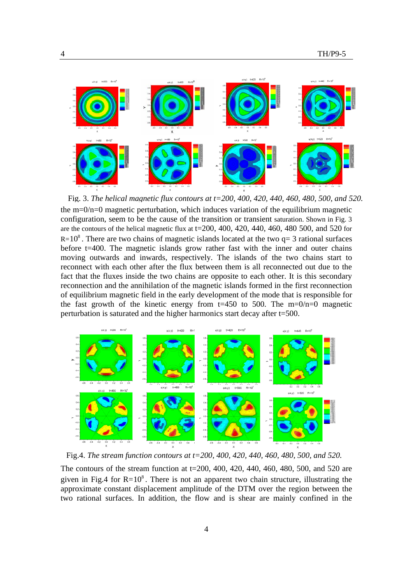

the  $m=0/n=0$  magnetic perturbation, which induces variation of the equilibrium magnetic configuration, seem to be the cause of the transition or transient saturation. Shown in Fig. 3 are the contours of the helical magnetic flux at  $t=200$ ,  $400$ ,  $420$ ,  $440$ ,  $460$ ,  $480$   $500$ , and  $520$  for  $R= 10<sup>8</sup>$ . There are two chains of magnetic islands located at the two q= 3 rational surfaces before t=400. The magnetic islands grow rather fast with the inner and outer chains moving outwards and inwards, respectively. The islands of the two chains start to reconnect with each other after the flux between them is all reconnected out due to the fact that the fluxes inside the two chains are opposite to each other. It is this secondary reconnection and the annihilation of the magnetic islands formed in the first reconnection of equilibrium magnetic field in the early development of the mode that is responsible for the fast growth of the kinetic energy from  $t=450$  to 500. The m=0/n=0 magnetic perturbation is saturated and the higher harmonics start decay after t=500. Fig. 3. *The helical magnetic flux contours at t=200, 400, 420, 440, 460, 480, 500, and 520.*



Fig.4. *The stream function contours at t=200, 400, 420, 440, 460, 480, 500, and 520.*

The contours of the stream function at t=200, 400, 420, 440, 460, 480, 500, and 520 are given in Fig.4 for  $R = 10<sup>8</sup>$ . There is not an apparent two chain structure, illustrating the approximate constant displacement amplitude of the DTM over the region between the two rational surfaces. In addition, the flow and is shear are mainly confined in the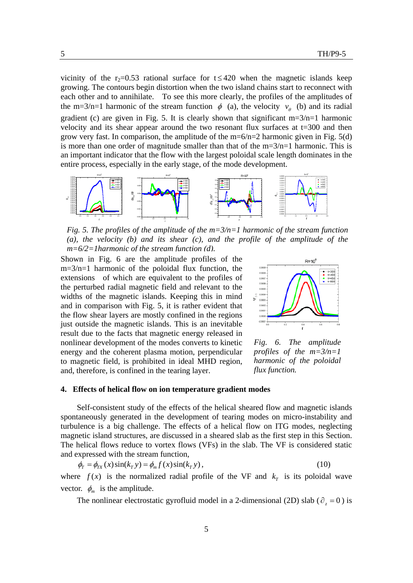vicinity of the r<sub>2</sub>=0.53 rational surface for t  $\leq$ 420 when the magnetic islands keep growing. The contours begin distortion when the two island chains start to reconnect with each other and to annihilate. To see this more clearly, the profiles of the amplitudes of the m=3/n=1 harmonic of the stream function  $\phi$  (a), the velocity  $v_{\theta}$  (b) and its radial gradient (c) are given in Fig. 5. It is clearly shown that significant  $m=3/n=1$  harmonic velocity and its shear appear around the two resonant flux surfaces at t=300 and then grow very fast. In comparison, the amplitude of the  $m=6/n=2$  harmonic given in Fig. 5(d) is more than one order of magnitude smaller than that of the  $m=3/n=1$  harmonic. This is an important indicator that the flow with the largest poloidal scale length dominates in the entire process, especially in the early stage, of the mode development.



*Fig. 5. The profiles of the amplitude of the m=3/n=1 harmonic of the stream function (a), the velocity (b) and its shear (c), and the profile of the amplitude of the m=6/2=1harmonic of the stream function (d).*

Shown in Fig. 6 are the amplitude profiles of the m=3/n=1 harmonic of the poloidal flux function, the extensions of which are equivalent to the profiles of the perturbed radial magnetic field and relevant to the widths of the magnetic islands. Keeping this in mind and in comparison with Fig. 5, it is rather evident that the flow shear layers are mostly confined in the regions just outside the magnetic islands. This is an inevitable result due to the facts that magnetic energy released in nonlinear development of the modes converts to kinetic energy and the coherent plasma motion, perpendicular to magnetic field, is prohibited in ideal MHD region, and, therefore, is confined in the tearing layer.



*Fig. 6. The amplitude profiles of the m=3/n=1 harmonic of the poloidal flux function.* 

## **4. Effects of helical flow on ion temperature gradient modes**

Self-consistent study of the effects of the helical sheared flow and magnetic islands spontaneously generated in the development of tearing modes on micro-instability and turbulence is a big challenge. The effects of a helical flow on ITG modes, neglecting magnetic island structures, are discussed in a sheared slab as the first step in this Section. The helical flows reduce to vortex flows (VFs) in the slab. The VF is considered static and expressed with the stream function,

$$
\phi_T = \phi_{TX}(x)\sin(k_T y) = \phi_m f(x)\sin(k_T y),\tag{10}
$$

where  $f(x)$  is the normalized radial profile of the VF and  $k<sub>T</sub>$  is its poloidal wave vector.  $\phi_m$  is the amplitude.

The nonlinear electrostatic gyrofluid model in a 2-dimensional (2D) slab ( $\partial_z = 0$ ) is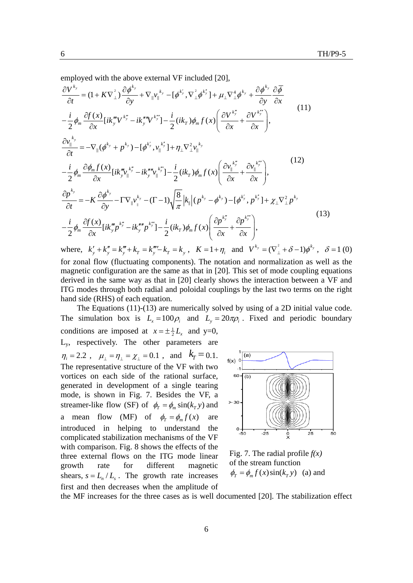employed with the above external VF included [20],

$$
\frac{\partial V^{k_y}}{\partial t} = (1 + K \nabla_{\perp}^2) \frac{\partial \phi^{k_y}}{\partial y} + \nabla_{\parallel} v_{\parallel}^{k_y} - [\phi^{k_y}, \nabla_{\perp}^2 \phi^{k_y}] + \mu_{\perp} \nabla_{\perp}^4 \phi^{k_y} + \frac{\partial \phi^{k_y}}{\partial y} \frac{\partial \overline{\phi}}{\partial x}
$$
\n
$$
- \frac{i}{2} \phi_m \frac{\partial f(x)}{\partial x} [ik_m^m V^{k_y^m} - ik_m^m V^{k_y^m}] - \frac{i}{2} (ik_T) \phi_m f(x) \left( \frac{\partial V^{k_y^m}}{\partial x} + \frac{\partial V^{k_y^m}}{\partial x} \right),
$$
\n
$$
\frac{\partial v_{\parallel}^{k_y}}{\partial t} = -\nabla_{\parallel} (\phi^{k_y} + p^{k_y}) - [\phi^{k_y}, v_{\parallel}^{k_y^m}] + \eta_{\perp} \nabla_{\perp}^2 v_{\parallel}^{k_y}
$$
\n
$$
- \frac{i}{2} \phi_m \frac{\partial \phi_m f(x)}{\partial x} [ik_m^m v_{\parallel}^{k_y^m} - ik_m^m v_{\parallel}^{k_y^m}] - \frac{i}{2} (ik_T) \phi_m f(x) \left( \frac{\partial v_{\parallel}^{k_y^m}}{\partial x} + \frac{\partial v_{\parallel}^{k_y^m}}{\partial x} \right),
$$
\n
$$
\frac{\partial p^{k_y}}{\partial t} = -K \frac{\partial \phi^{k_y}}{\partial y} - \Gamma \nabla_{\parallel} v_{\parallel}^{k_y} - (\Gamma - 1) \sqrt{\frac{8}{\pi}} |k_{\parallel} | (p^{k_y} - \phi^{k_y}) - [\phi^{k_y}, p^{k_y^m}] + \chi_{\perp} \nabla_{\perp}^2 p^{k_y}
$$
\n
$$
- \frac{i}{2} \phi_m \frac{\partial f(x)}{\partial x} [ik_m^m p^{k_y^m}] - \frac{i}{2} (ik_T) \phi_m f(x) \left( \frac{\partial p^{k_y^m}}{\partial x} + \frac{\partial p^{k_y^m}}{\partial x} \right),
$$
\nwhere,  $k_y' + k_y'' = k_y'' + k_T = k_y'' - k_T = k_y$ ,  $K = 1 + \eta_i$  and  $V^{k_y} = (\nabla$ 

for zonal flow (fluctuating components). The notation and normalization as well as the magnetic configuration are the same as that in [20]. This set of mode coupling equations derived in the same way as that in [20] clearly shows the interaction between a VF and ITG modes through both radial and poloidal couplings by the last two terms on the right hand side (RHS) of each equation.

The Equations (11)-(13) are numerically solved by using of a 2D initial value code. The simulation box is  $L_x = 100 \rho_i$  and  $L_y = 20 \pi \rho_i$ . Fixed and periodic boundary conditions are imposed at  $x = \pm \frac{1}{2}L_x$  and y=0,

Ly, respectively. The other parameters are  $\eta_i = 2.2$ ,  $\mu_i = \eta_i = \chi_i = 0.1$ , and  $k = = 0.1$ . The representative structure of the VF with two vortices on each side of the rational surface, generated in development of a single tearing mode, is shown in Fig. 7. Besides the VF, a streamer-like flow (SF) of  $\phi_r = \phi_m \sin(k_r y)$  and a mean flow (MF) of  $\phi_T = \phi_m f(x)$  are introduced in helping to understand the complicated stabilization mechanisms of the VF with comparison. Fig. 8 shows the effects of the three external flows on the ITG mode linear growth rate for different magnetic shears,  $s = L_n / L_s$ . The growth rate increases first and then decreases when the amplitude of



Fig. 7. The radial profile *f(x)* of the stream function  $\phi_r = \phi_m f(x) \sin(k_r y)$  (a) and

the MF increases for the three cases as is well documented [20]. The stabilization effect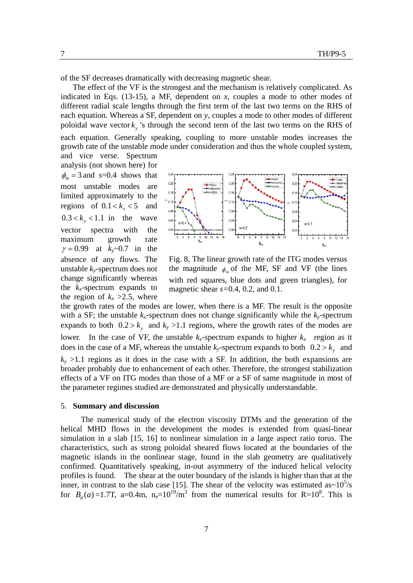of the SF decreases dramatically with decreasing magnetic shear.

The effect of the VF is the strongest and the mechanism is relatively complicated. As indicated in Eqs. (13-15), a MF, dependent on *x*, couples a mode to other modes of different radial scale lengths through the first term of the last two terms on the RHS of each equation. Whereas a SF, dependent on *y*, couples a mode to other modes of different poloidal wave vector  $k_{y}$  's through the second term of the last two terms on the RHS of

each equation. Generally speaking, coupling to more unstable modes increases the growth rate of the unstable mode under consideration and thus the whole coupled system, and vice verse. Spectrum

analysis (not shown here) for  $\phi_m = 3$  and *s*=0.4 shows that most unstable modes are limited approximately to the regions of  $0.1 < k_x < 5$  and  $0.3 < k_{y} < 1.1$  in the wave vector spectra with the maximum growth rate  $\gamma = 0.99$  at  $k_v \sim 0.7$  in the absence of any flows. The unstable *ky*-spectrum does not change significantly whereas the  $k_x$ -spectrum expands to the region of  $k_x > 2.5$ , where



Fig. 8, The linear growth rate of the ITG modes versus the magnitude  $\phi$  of the MF, SF and VF (the lines with red squares, blue dots and green triangles), for magnetic shear *s=*0.4, 0.2, and 0.1.

the growth rates of the modes are lower, when there is a MF. The result is the opposite with a SF; the unstable  $k_x$ -spectrum does not change significantly while the  $k_y$ -spectrum expands to both  $0.2 > k_y$  and  $k_y > 1.1$  regions, where the growth rates of the modes are lower. In the case of VF, the unstable  $k_x$ -spectrum expands to higher  $k_x$  region as it does in the case of a MF, whereas the unstable  $k_y$ -spectrum expands to both  $0.2 > k_y$  and  $k_v$  >1.1 regions as it does in the case with a SF. In addition, the both expansions are broader probably due to enhancement of each other. Therefore, the strongest stabilization effects of a VF on ITG modes than those of a MF or a SF of same magnitude in most of the parameter regimes studied are demonstrated and physically understandable.

#### 5. **Summary and discussion**

The numerical study of the electron viscosity DTMs and the generation of the helical MHD flows in the development the modes is extended from quasi-linear simulation in a slab [15, 16] to nonlinear simulation in a large aspect ratio torus. The characteristics, such as strong poloidal sheared flows located at the boundaries of the magnetic islands in the nonlinear stage, found in the slab geometry are qualitatively confirmed. Quantitatively speaking, in-out asymmetry of the induced helical velocity profiles is found. The shear at the outer boundary of the islands is higher than that at the inner, in contrast to the slab case [15]. The shear of the velocity was estimated as~ $10^5$ /s for  $B_\rho(a) = 1.7$ T, a=0.4m, n<sub>e</sub>=10<sup>19</sup>/m<sup>3</sup> from the numerical results for R=10<sup>8</sup>. This is